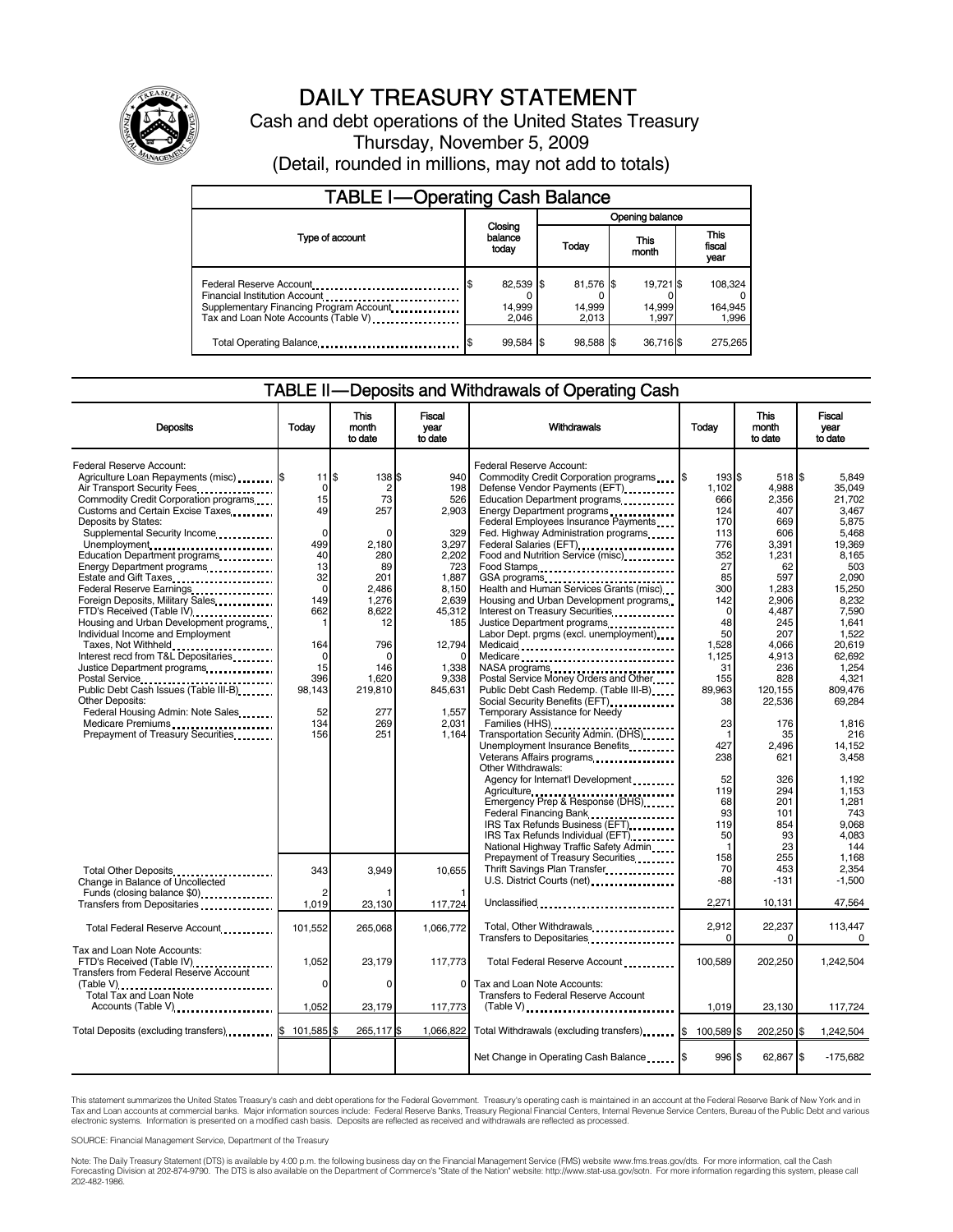

## DAILY TREASURY STATEMENT

Cash and debt operations of the United States Treasury Thursday, November 5, 2009 (Detail, rounded in millions, may not add to totals)

| <b>TABLE I-Operating Cash Balance</b>                                                                                                        |                                      |                              |                              |                               |  |  |  |
|----------------------------------------------------------------------------------------------------------------------------------------------|--------------------------------------|------------------------------|------------------------------|-------------------------------|--|--|--|
|                                                                                                                                              | Opening balance                      |                              |                              |                               |  |  |  |
| Type of account                                                                                                                              | Closing<br>balance<br>Today<br>today |                              | This<br>month                | <b>This</b><br>fiscal<br>year |  |  |  |
| Federal Reserve Account<br>Financial Institution Account<br>Supplementary Financing Program Account.<br>Tax and Loan Note Accounts (Table V) | 82,539 \$<br>14,999<br>2.046         | 81,576 \$<br>14,999<br>2.013 | 19,721 \$<br>14,999<br>1.997 | 108,324<br>164,945<br>1,996   |  |  |  |
| Total Operating Balance                                                                                                                      | 99,584 \$                            | 98,588 \$                    | 36,716\$                     | 275,265                       |  |  |  |

### TABLE II — Deposits and Withdrawals of Operating Cash

| <b>Deposits</b>                                                                                                                                                                                  | Todav                                  | <b>This</b><br>month<br>to date      | <b>Fiscal</b><br>year<br>to date                | Withdrawals                                                                                                                                                                                                                                                                                                                 | Today                                    | <b>This</b><br>month<br>to date              | <b>Fiscal</b><br>year<br>to date                    |
|--------------------------------------------------------------------------------------------------------------------------------------------------------------------------------------------------|----------------------------------------|--------------------------------------|-------------------------------------------------|-----------------------------------------------------------------------------------------------------------------------------------------------------------------------------------------------------------------------------------------------------------------------------------------------------------------------------|------------------------------------------|----------------------------------------------|-----------------------------------------------------|
| Federal Reserve Account:<br>Agriculture Loan Repayments (misc) [\$<br>Air Transport Security Fees<br>Commodity Credit Corporation programs<br>Customs and Certain Excise Taxes                   | $11$ $$$<br>0<br>15<br>49              | 138 \$<br>2<br>73<br>257             | 940<br>198<br>526<br>2,903                      | Federal Reserve Account:<br>Commodity Credit Corporation programs<br>Defense Vendor Payments (EFT)<br>Education Department programs                                                                                                                                                                                         | 1935<br>1.102<br>666<br>124              | 518 \$<br>4.988<br>2,356<br>407              | 5.849<br>35.049<br>21,702<br>3,467                  |
| Deposits by States:<br>Supplemental Security Income<br>Unemployment<br>Education Department programs<br>Energy Department programs                                                               | $\Omega$<br>499<br>40<br>13            | 2,180<br>280<br>89                   | 329<br>3,297<br>2.202<br>723                    | Federal Employees Insurance Payments.<br>Fed. Highway Administration programs<br>Federal Salaries (EFT)<br>Food and Nutrition Service (misc).<br>Food Stamps                                                                                                                                                                | 170<br>113<br>776<br>352<br>27           | 669<br>606<br>3,391<br>1,231<br>62           | 5,875<br>5,468<br>19.369<br>8.165<br>503            |
| Estate and Gift Taxes<br>Federal Reserve Earnings<br>Foreign Deposits, Military Sales<br>FTD's Received (Table IV)<br>Housing and Urban Development programs<br>Individual Income and Employment | 32<br>$\Omega$<br>149<br>662<br>1      | 201<br>2.486<br>1,276<br>8,622<br>12 | 1,887<br>8,150<br>2,639<br>45,312<br>185        | GSA programs<br>Health and Human Services Grants (misc)<br>Housing and Urban Development programs<br>Interest on Treasury Securities<br>Justice Department programs<br><br>Labor Dept. prgms (excl. unemployment)                                                                                                           | 85<br>300<br>142<br>$\Omega$<br>48<br>50 | 597<br>1,283<br>2,906<br>4,487<br>245<br>207 | 2.090<br>15.250<br>8,232<br>7,590<br>1.641<br>1.522 |
| Taxes, Not Withheld<br>Interest recd from T&L Depositaries<br>Justice Department programs<br><br>Public Debt Cash Issues (Table III-B)                                                           | 164<br>$\Omega$<br>15<br>396<br>98.143 | 796<br>0<br>146<br>1,620<br>219,810  | 12,794<br>$\Omega$<br>1.338<br>9,338<br>845,631 | Medicaid<br>Medicare<br>NASA programs<br>Postal Service Money Orders and Other<br>Public Debt Cash Redemp. (Table III-B)                                                                                                                                                                                                    | 1.528<br>1,125<br>31<br>155<br>89.963    | 4.066<br>4,913<br>236<br>828<br>120,155      | 20.619<br>62,692<br>1.254<br>4.321<br>809.476       |
| <b>Other Deposits:</b><br>Federal Housing Admin: Note Sales<br>Medicare Premiums<br>Prepayment of Treasury Securities                                                                            | 52<br>134<br>156                       | 277<br>269<br>251                    | 1,557<br>2,031<br>1.164                         | Temporary Assistance for Needy<br>Transportation Security Admin. (DHS)<br>Unemployment Insurance Benefits<br>Veterans Affairs programs                                                                                                                                                                                      | 38<br>23<br>$\mathbf{1}$<br>427<br>238   | 22,536<br>176<br>35<br>2.496<br>621          | 69,284<br>1,816<br>216<br>14.152<br>3,458           |
|                                                                                                                                                                                                  |                                        |                                      |                                                 | Other Withdrawals:<br>Agency for Internat'l Development<br>Agriculture<br>Emergency Prep & Response (DHS)<br>Federal Financing Bank<br>1991 - The Lines of Pederal Philosopher Bank Panel Philosopher Philosopher Philosopher Philosopher Philosopher<br>IRS Tax Refunds Business (EFT)<br>IRS Tax Refunds Individual (EFT) | 52<br>119<br>68<br>93<br>119<br>50       | 326<br>294<br>201<br>101<br>854<br>93        | 1.192<br>1,153<br>1,281<br>743<br>9,068<br>4,083    |
| Total Other Deposits<br>Change in Balance of Uncollected                                                                                                                                         | 343                                    | 3,949                                | 10.655                                          | National Highway Traffic Safety Admin<br>Prepayment of Treasury Securities<br>Thrift Savings Plan Transfer.<br>U.S. District Courts (net)                                                                                                                                                                                   | -1<br>158<br>70<br>-88                   | 23<br>255<br>453<br>$-131$                   | 144<br>1.168<br>2,354<br>$-1,500$                   |
| Funds (closing balance \$0)                                                                                                                                                                      | 1,019                                  | 23,130                               | 117,724                                         | Unclassified                                                                                                                                                                                                                                                                                                                | 2,271                                    | 10,131                                       | 47,564                                              |
| Total Federal Reserve Account                                                                                                                                                                    | 101,552                                | 265,068                              | 1.066.772                                       | Total, Other Withdrawals<br>Transfers to Depositaries                                                                                                                                                                                                                                                                       | 2,912<br>$\mathbf 0$                     | 22,237<br>0                                  | 113,447<br>0                                        |
| Tax and Loan Note Accounts:<br>FTD's Received (Table IV)<br>Transfers from Federal Reserve Account                                                                                               | 1,052                                  | 23,179                               | 117,773                                         | Total Federal Reserve Account                                                                                                                                                                                                                                                                                               | 100,589                                  | 202,250                                      | 1,242,504                                           |
| (Table V)<br>Total Tax and Loan Note<br>Accounts (Table V)                                                                                                                                       | $\mathbf 0$<br>1,052                   | 0<br>23,179                          | 0<br>117,773                                    | Tax and Loan Note Accounts:<br>Transfers to Federal Reserve Account                                                                                                                                                                                                                                                         | 1,019                                    | 23,130                                       | 117,724                                             |
| Total Deposits (excluding transfers) \$                                                                                                                                                          | 101.585 \$                             | 265,117\$                            | 1,066,822                                       | Total Withdrawals (excluding transfers) [\$                                                                                                                                                                                                                                                                                 | 100,589 \$                               | 202,250 \$                                   | 1,242,504                                           |
|                                                                                                                                                                                                  |                                        |                                      |                                                 | Net Change in Operating Cash Balance                                                                                                                                                                                                                                                                                        | 996 \$                                   | 62,867 \$                                    | $-175,682$                                          |

This statement summarizes the United States Treasury's cash and debt operations for the Federal Government. Treasury's operating cash is maintained in an account at the Federal Reserve Bank of New York and in Tax and Loan accounts at commercial banks. Major information sources include: Federal Reserve Banks, Treasury Regional Financial Centers, Internal Revenue Service Centers, Bureau of the Public Debt and various<br>electronic s

SOURCE: Financial Management Service, Department of the Treasury

Note: The Daily Treasury Statement (DTS) is available by 4:00 p.m. the following business day on the Financial Management Service (FMS) website www.fms.treas.gov/dts. For more information, call the Cash<br>Forecasting Divisio